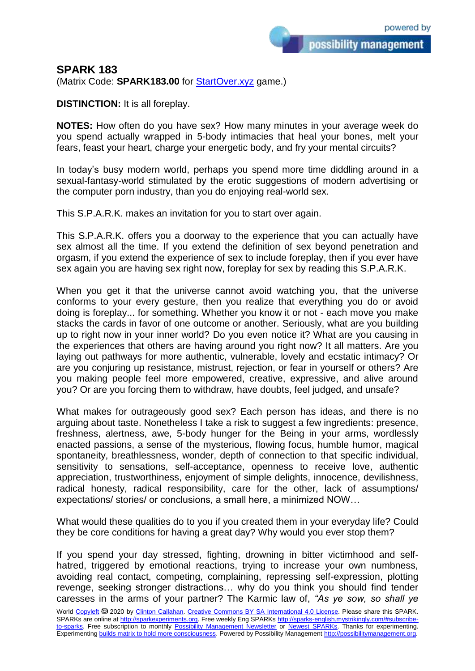## **SPARK 183**

(Matrix Code: **SPARK183.00** for **StartOver.xyz** game.)

**DISTINCTION:** It is all foreplay.

**NOTES:** How often do you have sex? How many minutes in your average week do you spend actually wrapped in 5-body intimacies that heal your bones, melt your fears, feast your heart, charge your energetic body, and fry your mental circuits?

In today's busy modern world, perhaps you spend more time diddling around in a sexual-fantasy-world stimulated by the erotic suggestions of modern advertising or the computer porn industry, than you do enjoying real-world sex.

This S.P.A.R.K. makes an invitation for you to start over again.

This S.P.A.R.K. offers you a doorway to the experience that you can actually have sex almost all the time. If you extend the definition of sex beyond penetration and orgasm, if you extend the experience of sex to include foreplay, then if you ever have sex again you are having sex right now, foreplay for sex by reading this S.P.A.R.K.

When you get it that the universe cannot avoid watching you, that the universe conforms to your every gesture, then you realize that everything you do or avoid doing is foreplay... for something. Whether you know it or not - each move you make stacks the cards in favor of one outcome or another. Seriously, what are you building up to right now in your inner world? Do you even notice it? What are you causing in the experiences that others are having around you right now? It all matters. Are you laying out pathways for more authentic, vulnerable, lovely and ecstatic intimacy? Or are you conjuring up resistance, mistrust, rejection, or fear in yourself or others? Are you making people feel more empowered, creative, expressive, and alive around you? Or are you forcing them to withdraw, have doubts, feel judged, and unsafe?

What makes for outrageously good sex? Each person has ideas, and there is no arguing about taste. Nonetheless I take a risk to suggest a few ingredients: presence, freshness, alertness, awe, 5-body hunger for the Being in your arms, wordlessly enacted passions, a sense of the mysterious, flowing focus, humble humor, magical spontaneity, breathlessness, wonder, depth of connection to that specific individual, sensitivity to sensations, self-acceptance, openness to receive love, authentic appreciation, trustworthiness, enjoyment of simple delights, innocence, devilishness, radical honesty, radical responsibility, care for the other, lack of assumptions/ expectations/ stories/ or conclusions, a small here, a minimized NOW…

What would these qualities do to you if you created them in your everyday life? Could they be core conditions for having a great day? Why would you ever stop them?

If you spend your day stressed, fighting, drowning in bitter victimhood and selfhatred, triggered by emotional reactions, trying to increase your own numbness, avoiding real contact, competing, complaining, repressing self-expression, plotting revenge, seeking stronger distractions… why do you think you should find tender caresses in the arms of your partner? The Karmic law of, *"As ye sow, so shall ye*